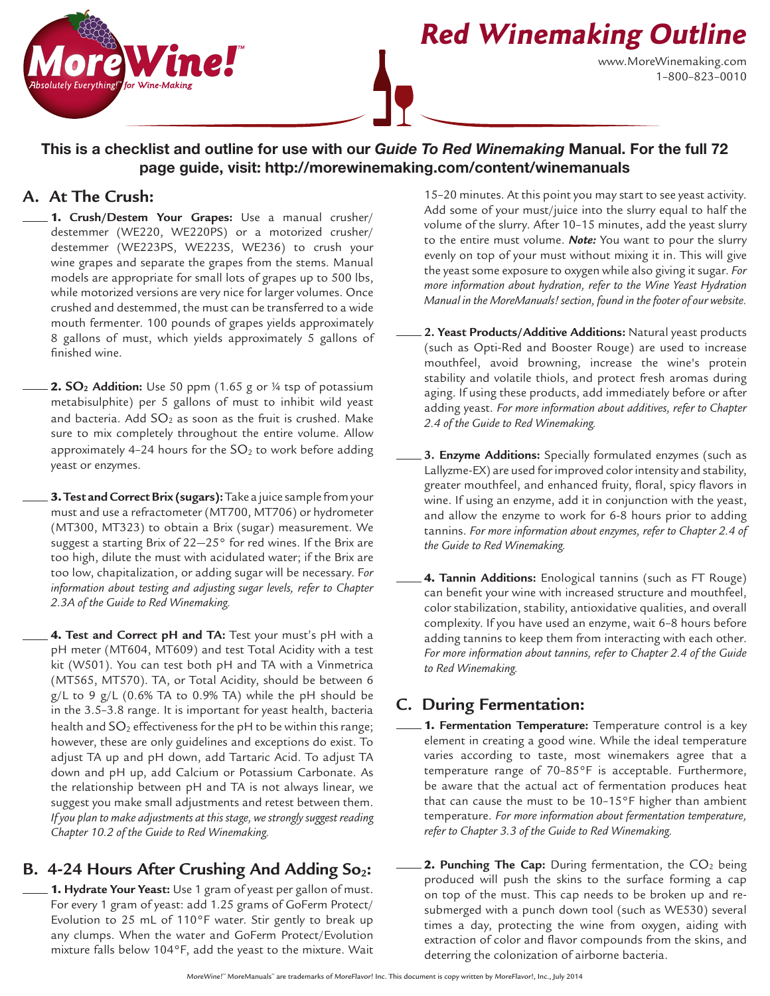

# **Red Winemaking Outline**

www.MoreWinemaking.com 1–800–823–0010

#### This is a checklist and outline for use with our *Guide To Red Winemaking* Manual. For the full 72 page guide, visit: http://morewinemaking.com/content/winemanuals

#### **A. At The Crush:**

1. **Crush/Destem Your Grapes:** Use a manual crusher/ destemmer (WE220, WE220PS) or a motorized crusher/ destemmer (WE223PS, WE223S, WE236) to crush your wine grapes and separate the grapes from the stems. Manual models are appropriate for small lots of grapes up to 500 lbs, while motorized versions are very nice for larger volumes. Once crushed and destemmed, the must can be transferred to a wide mouth fermenter. 100 pounds of grapes yields approximately 8 gallons of must, which yields approximately 5 gallons of finished wine.

2. SO<sub>2</sub> Addition: Use 50 ppm (1.65 g or ¼ tsp of potassium metabisulphite) per 5 gallons of must to inhibit wild yeast and bacteria. Add  $SO<sub>2</sub>$  as soon as the fruit is crushed. Make sure to mix completely throughout the entire volume. Allow approximately 4-24 hours for the  $SO<sub>2</sub>$  to work before adding yeast or enzymes.

3.**Test and Correct Brix (sugars):** Take a juice sample from your must and use a refractometer (MT700, MT706) or hydrometer (MT300, MT323) to obtain a Brix (sugar) measurement. We suggest a starting Brix of  $22-25$ ° for red wines. If the Brix are too high, dilute the must with acidulated water; if the Brix are too low, chapitalization, or adding sugar will be necessary. F*or information about testing and adjusting sugar levels, refer to Chapter 2.3A of the Guide to Red Winemaking.*

4. **Test and Correct pH and TA:** Test your must's pH with a pH meter (MT604, MT609) and test Total Acidity with a test kit (W501). You can test both pH and TA with a Vinmetrica (MT565, MT570). TA, or Total Acidity, should be between 6  $g/L$  to 9  $g/L$  (0.6% TA to 0.9% TA) while the pH should be in the 3.5–3.8 range. It is important for yeast health, bacteria health and  $SO<sub>2</sub>$  effectiveness for the pH to be within this range; however, these are only guidelines and exceptions do exist. To adjust TA up and pH down, add Tartaric Acid. To adjust TA down and pH up, add Calcium or Potassium Carbonate. As the relationship between pH and TA is not always linear, we suggest you make small adjustments and retest between them. *If you plan to make adjustments at this stage, we strongly suggest reading Chapter 10.2 of the Guide to Red Winemaking.*

## **B.** 4-24 Hours After Crushing And Adding So<sub>2</sub>:

1. **Hydrate Your Yeast:** Use 1 gram of yeast per gallon of must. For every 1 gram of yeast: add 1.25 grams of GoFerm Protect/ Evolution to 25 mL of 110°F water. Stir gently to break up any clumps. When the water and GoFerm Protect/Evolution mixture falls below 104°F, add the yeast to the mixture. Wait

15–20 minutes. At this point you may start to see yeast activity. Add some of your must/juice into the slurry equal to half the volume of the slurry. After 10–15 minutes, add the yeast slurry to the entire must volume. *Note:* You want to pour the slurry evenly on top of your must without mixing it in. This will give the yeast some exposure to oxygen while also giving it sugar. *For more information about hydration, refer to the Wine Yeast Hydration Manual in the MoreManuals! section, found in the footer of our website.* 

- **2. Yeast Products/Additive Additions:** Natural yeast products (such as Opti-Red and Booster Rouge) are used to increase mouthfeel, avoid browning, increase the wine's protein stability and volatile thiols, and protect fresh aromas during aging. If using these products, add immediately before or after adding yeast. *For more information about additives, refer to Chapter 2.4 of the Guide to Red Winemaking.*
- **3. Enzyme Additions:** Specially formulated enzymes (such as Lallyzme-EX) are used for improved color intensity and stability, greater mouthfeel, and enhanced fruity, floral, spicy flavors in wine. If using an enzyme, add it in conjunction with the yeast, and allow the enzyme to work for 6-8 hours prior to adding tannins. *For more information about enzymes, refer to Chapter 2.4 of the Guide to Red Winemaking.*
- 4. **Tannin Additions:** Enological tannins (such as FT Rouge) can benefit your wine with increased structure and mouthfeel, color stabilization, stability, antioxidative qualities, and overall complexity. If you have used an enzyme, wait 6–8 hours before adding tannins to keep them from interacting with each other. *For more information about tannins, refer to Chapter 2.4 of the Guide to Red Winemaking.*

## **C. During Fermentation:**

- 1. **Fermentation Temperature:** Temperature control is a key element in creating a good wine. While the ideal temperature varies according to taste, most winemakers agree that a temperature range of 70–85°F is acceptable. Furthermore, be aware that the actual act of fermentation produces heat that can cause the must to be 10–15°F higher than ambient temperature. *For more information about fermentation temperature, refer to Chapter 3.3 of the Guide to Red Winemaking.*
	- 2. Punching The Cap: During fermentation, the CO<sub>2</sub> being produced will push the skins to the surface forming a cap on top of the must. This cap needs to be broken up and resubmerged with a punch down tool (such as WE530) several times a day, protecting the wine from oxygen, aiding with extraction of color and flavor compounds from the skins, and deterring the colonization of airborne bacteria.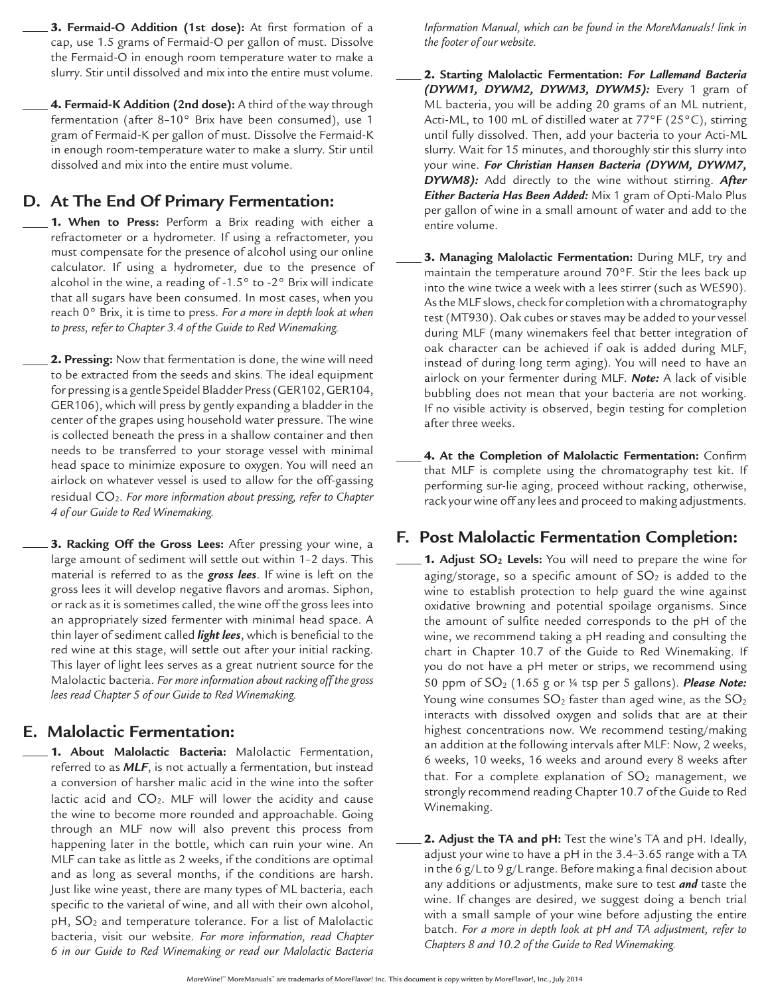3. **Fermaid-O Addition (1st dose):** At first formation of a cap, use 1.5 grams of Fermaid-O per gallon of must. Dissolve the Fermaid-O in enough room temperature water to make a slurry. Stir until dissolved and mix into the entire must volume.

4. **Fermaid-K Addition (2nd dose):** A third of the way through fermentation (after 8–10° Brix have been consumed), use 1 gram of Fermaid-K per gallon of must. Dissolve the Fermaid-K in enough room-temperature water to make a slurry. Stir until dissolved and mix into the entire must volume.

### **D. At The End Of Primary Fermentation:**

1. **When to Press:** Perform a Brix reading with either a refractometer or a hydrometer. If using a refractometer, you must compensate for the presence of alcohol using our online calculator. If using a hydrometer, due to the presence of alcohol in the wine, a reading of -1.5° to -2° Brix will indicate that all sugars have been consumed. In most cases, when you reach 0° Brix, it is time to press. *For a more in depth look at when to press, refer to Chapter 3.4 of the Guide to Red Winemaking.*

2. **Pressing:** Now that fermentation is done, the wine will need to be extracted from the seeds and skins. The ideal equipment for pressing is a gentle Speidel Bladder Press (GER102, GER104, GER106), which will press by gently expanding a bladder in the center of the grapes using household water pressure. The wine is collected beneath the press in a shallow container and then needs to be transferred to your storage vessel with minimal head space to minimize exposure to oxygen. You will need an airlock on whatever vessel is used to allow for the off-gassing residual CO2. *For more information about pressing, refer to Chapter 4 of our Guide to Red Winemaking.*

3. **Racking Off the Gross Lees:** After pressing your wine, a large amount of sediment will settle out within 1–2 days. This material is referred to as the *gross lees*. If wine is left on the gross lees it will develop negative flavors and aromas. Siphon, or rack as it is sometimes called, the wine off the gross lees into an appropriately sized fermenter with minimal head space. A thin layer of sediment called *light lees*, which is beneficial to the red wine at this stage, will settle out after your initial racking. This layer of light lees serves as a great nutrient source for the Malolactic bacteria. *For more information about racking off the gross lees read Chapter 5 of our Guide to Red Winemaking.*

#### **E. Malolactic Fermentation:**

1. **About Malolactic Bacteria:** Malolactic Fermentation, referred to as *MLF*, is not actually a fermentation, but instead a conversion of harsher malic acid in the wine into the softer lactic acid and  $CO<sub>2</sub>$ . MLF will lower the acidity and cause the wine to become more rounded and approachable. Going through an MLF now will also prevent this process from happening later in the bottle, which can ruin your wine. An MLF can take as little as 2 weeks, if the conditions are optimal and as long as several months, if the conditions are harsh. Just like wine yeast, there are many types of ML bacteria, each specific to the varietal of wine, and all with their own alcohol, pH, SO<sub>2</sub> and temperature tolerance. For a list of Malolactic bacteria, visit our website. *For more information, read Chapter 6 in our Guide to Red Winemaking or read our Malolactic Bacteria* 

*Information Manual, which can be found in the MoreManuals! link in the footer of our website.* 

- 2. **Starting Malolactic Fermentation:** *For Lallemand Bacteria (DYWM1, DYWM2, DYWM3, DYWM5):* Every 1 gram of ML bacteria, you will be adding 20 grams of an ML nutrient, Acti-ML, to 100 mL of distilled water at 77°F (25°C), stirring until fully dissolved. Then, add your bacteria to your Acti-ML slurry. Wait for 15 minutes, and thoroughly stir this slurry into your wine. *For Christian Hansen Bacteria (DYWM, DYWM7, DYWM8):* Add directly to the wine without stirring. *After Either Bacteria Has Been Added:* Mix 1 gram of Opti-Malo Plus per gallon of wine in a small amount of water and add to the entire volume.
- 3. **Managing Malolactic Fermentation:** During MLF, try and maintain the temperature around 70°F. Stir the lees back up into the wine twice a week with a lees stirrer (such as WE590). As the MLF slows, check for completion with a chromatography test (MT930). Oak cubes or staves may be added to your vessel during MLF (many winemakers feel that better integration of oak character can be achieved if oak is added during MLF, instead of during long term aging). You will need to have an airlock on your fermenter during MLF. *Note:* A lack of visible bubbling does not mean that your bacteria are not working. If no visible activity is observed, begin testing for completion after three weeks.
- 4. **At the Completion of Malolactic Fermentation:** Confirm that MLF is complete using the chromatography test kit. If performing sur-lie aging, proceed without racking, otherwise, rack your wine off any lees and proceed to making adjustments.

## **F. Post Malolactic Fermentation Completion:**

- 1. Adjust SO<sub>2</sub> Levels: You will need to prepare the wine for aging/storage, so a specific amount of  $SO<sub>2</sub>$  is added to the wine to establish protection to help guard the wine against oxidative browning and potential spoilage organisms. Since the amount of sulfite needed corresponds to the pH of the wine, we recommend taking a pH reading and consulting the chart in Chapter 10.7 of the Guide to Red Winemaking. If you do not have a pH meter or strips, we recommend using 50 ppm of SO2 (1.65 g or ¼ tsp per 5 gallons). *Please Note:* Young wine consumes  $SO_2$  faster than aged wine, as the  $SO_2$ interacts with dissolved oxygen and solids that are at their highest concentrations now. We recommend testing/making an addition at the following intervals after MLF: Now, 2 weeks, 6 weeks, 10 weeks, 16 weeks and around every 8 weeks after that. For a complete explanation of  $SO<sub>2</sub>$  management, we strongly recommend reading Chapter 10.7 of the Guide to Red Winemaking.
- 2. **Adjust the TA and pH:** Test the wine's TA and pH. Ideally, adjust your wine to have a pH in the 3.4–3.65 range with a TA in the 6 g/L to 9 g/L range. Before making a final decision about any additions or adjustments, make sure to test *and* taste the wine. If changes are desired, we suggest doing a bench trial with a small sample of your wine before adjusting the entire batch. *For a more in depth look at pH and TA adjustment, refer to Chapters 8 and 10.2 of the Guide to Red Winemaking.*